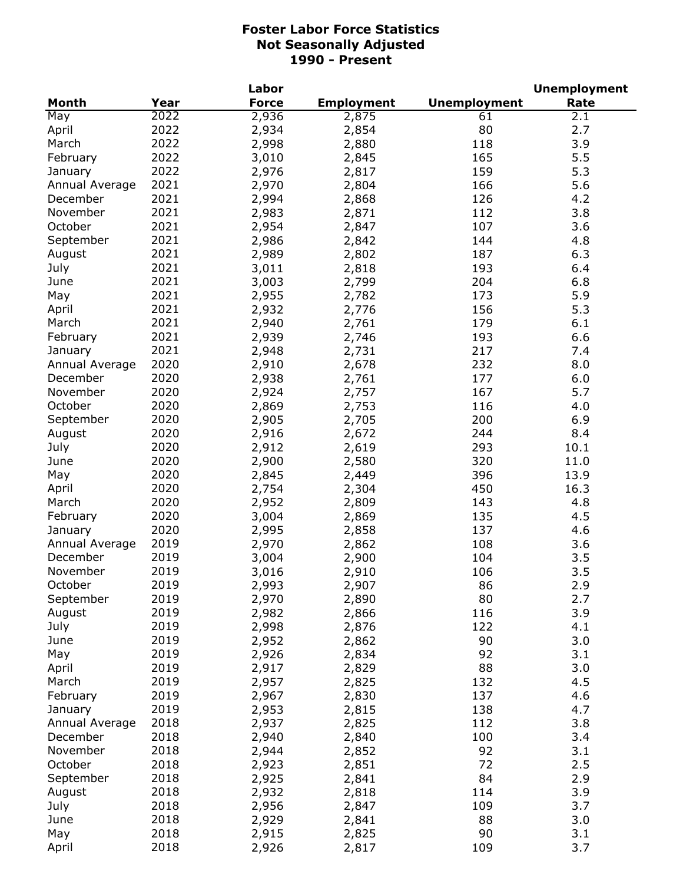|                |      | Labor        |                   |                     | <b>Unemployment</b> |
|----------------|------|--------------|-------------------|---------------------|---------------------|
| <b>Month</b>   | Year | <b>Force</b> | <b>Employment</b> | <b>Unemployment</b> | Rate                |
| May            | 2022 | 2,936        | 2,875             | 61                  | 2.1                 |
| April          | 2022 | 2,934        | 2,854             | 80                  | 2.7                 |
| March          | 2022 | 2,998        | 2,880             | 118                 | 3.9                 |
| February       | 2022 | 3,010        | 2,845             | 165                 | 5.5                 |
| January        | 2022 | 2,976        | 2,817             | 159                 | 5.3                 |
| Annual Average | 2021 | 2,970        | 2,804             | 166                 | 5.6                 |
| December       | 2021 | 2,994        | 2,868             | 126                 | 4.2                 |
| November       | 2021 | 2,983        | 2,871             | 112                 | 3.8                 |
| October        | 2021 | 2,954        | 2,847             | 107                 | 3.6                 |
| September      | 2021 | 2,986        | 2,842             | 144                 | 4.8                 |
| August         | 2021 | 2,989        | 2,802             | 187                 | 6.3                 |
| July           | 2021 | 3,011        | 2,818             | 193                 | 6.4                 |
| June           | 2021 | 3,003        | 2,799             | 204                 | 6.8                 |
|                | 2021 |              | 2,782             | 173                 | 5.9                 |
| May            | 2021 | 2,955        |                   |                     |                     |
| April          |      | 2,932        | 2,776             | 156                 | 5.3                 |
| March          | 2021 | 2,940        | 2,761             | 179                 | 6.1                 |
| February       | 2021 | 2,939        | 2,746             | 193                 | 6.6                 |
| January        | 2021 | 2,948        | 2,731             | 217                 | 7.4                 |
| Annual Average | 2020 | 2,910        | 2,678             | 232                 | 8.0                 |
| December       | 2020 | 2,938        | 2,761             | 177                 | 6.0                 |
| November       | 2020 | 2,924        | 2,757             | 167                 | 5.7                 |
| October        | 2020 | 2,869        | 2,753             | 116                 | 4.0                 |
| September      | 2020 | 2,905        | 2,705             | 200                 | 6.9                 |
| August         | 2020 | 2,916        | 2,672             | 244                 | 8.4                 |
| July           | 2020 | 2,912        | 2,619             | 293                 | 10.1                |
| June           | 2020 | 2,900        | 2,580             | 320                 | 11.0                |
| May            | 2020 | 2,845        | 2,449             | 396                 | 13.9                |
| April          | 2020 | 2,754        | 2,304             | 450                 | 16.3                |
| March          | 2020 | 2,952        | 2,809             | 143                 | 4.8                 |
| February       | 2020 | 3,004        | 2,869             | 135                 | 4.5                 |
| January        | 2020 | 2,995        | 2,858             | 137                 | 4.6                 |
| Annual Average | 2019 | 2,970        | 2,862             | 108                 | 3.6                 |
| December       | 2019 | 3,004        | 2,900             | 104                 | 3.5                 |
| November       | 2019 | 3,016        | 2,910             | 106                 | 3.5                 |
| October        | 2019 | 2,993        | 2,907             | 86                  | 2.9                 |
| September      | 2019 | 2,970        | 2,890             | 80                  | 2.7                 |
| August         | 2019 | 2,982        | 2,866             | 116                 | 3.9                 |
| July           | 2019 | 2,998        | 2,876             | 122                 | 4.1                 |
| June           | 2019 | 2,952        | 2,862             | 90                  | 3.0                 |
| May            | 2019 | 2,926        | 2,834             | 92                  | 3.1                 |
| April          | 2019 | 2,917        | 2,829             | 88                  | 3.0                 |
| March          | 2019 | 2,957        | 2,825             | 132                 | 4.5                 |
| February       | 2019 | 2,967        | 2,830             | 137                 | 4.6                 |
|                | 2019 | 2,953        | 2,815             | 138                 | 4.7                 |
| January        |      |              |                   |                     |                     |
| Annual Average | 2018 | 2,937        | 2,825             | 112                 | 3.8                 |
| December       | 2018 | 2,940        | 2,840             | 100                 | 3.4                 |
| November       | 2018 | 2,944        | 2,852             | 92                  | 3.1                 |
| October        | 2018 | 2,923        | 2,851             | 72                  | 2.5                 |
| September      | 2018 | 2,925        | 2,841             | 84                  | 2.9                 |
| August         | 2018 | 2,932        | 2,818             | 114                 | 3.9                 |
| July           | 2018 | 2,956        | 2,847             | 109                 | 3.7                 |
| June           | 2018 | 2,929        | 2,841             | 88                  | 3.0                 |
| May            | 2018 | 2,915        | 2,825             | 90                  | 3.1                 |
| April          | 2018 | 2,926        | 2,817             | 109                 | 3.7                 |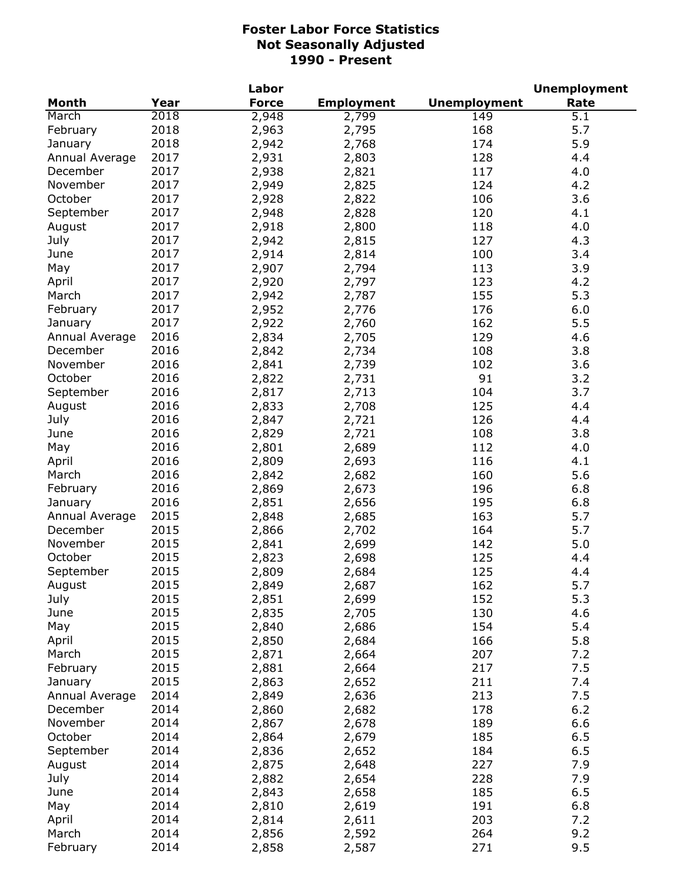|                |      | Labor        |                   |                     | <b>Unemployment</b> |
|----------------|------|--------------|-------------------|---------------------|---------------------|
| <b>Month</b>   | Year | <b>Force</b> | <b>Employment</b> | <b>Unemployment</b> | Rate                |
| March          | 2018 | 2,948        | 2,799             | 149                 | 5.1                 |
| February       | 2018 | 2,963        | 2,795             | 168                 | 5.7                 |
| January        | 2018 | 2,942        | 2,768             | 174                 | 5.9                 |
| Annual Average | 2017 | 2,931        | 2,803             | 128                 | 4.4                 |
| December       | 2017 | 2,938        | 2,821             | 117                 | 4.0                 |
| November       | 2017 | 2,949        | 2,825             | 124                 | 4.2                 |
| October        | 2017 | 2,928        | 2,822             | 106                 | 3.6                 |
| September      | 2017 | 2,948        | 2,828             | 120                 | 4.1                 |
| August         | 2017 | 2,918        | 2,800             | 118                 | 4.0                 |
| July           | 2017 | 2,942        | 2,815             | 127                 | 4.3                 |
| June           | 2017 | 2,914        | 2,814             | 100                 | 3.4                 |
| May            | 2017 | 2,907        | 2,794             | 113                 | 3.9                 |
| April          | 2017 | 2,920        | 2,797             | 123                 | 4.2                 |
| March          | 2017 | 2,942        | 2,787             | 155                 | 5.3                 |
| February       | 2017 | 2,952        | 2,776             | 176                 | 6.0                 |
| January        | 2017 | 2,922        | 2,760             | 162                 | 5.5                 |
| Annual Average | 2016 | 2,834        |                   | 129                 | 4.6                 |
|                | 2016 |              | 2,705             |                     |                     |
| December       |      | 2,842        | 2,734             | 108                 | 3.8                 |
| November       | 2016 | 2,841        | 2,739             | 102                 | 3.6                 |
| October        | 2016 | 2,822        | 2,731             | 91                  | 3.2                 |
| September      | 2016 | 2,817        | 2,713             | 104                 | 3.7                 |
| August         | 2016 | 2,833        | 2,708             | 125                 | 4.4                 |
| July           | 2016 | 2,847        | 2,721             | 126                 | 4.4                 |
| June           | 2016 | 2,829        | 2,721             | 108                 | 3.8                 |
| May            | 2016 | 2,801        | 2,689             | 112                 | 4.0                 |
| April          | 2016 | 2,809        | 2,693             | 116                 | 4.1                 |
| March          | 2016 | 2,842        | 2,682             | 160                 | 5.6                 |
| February       | 2016 | 2,869        | 2,673             | 196                 | 6.8                 |
| January        | 2016 | 2,851        | 2,656             | 195                 | 6.8                 |
| Annual Average | 2015 | 2,848        | 2,685             | 163                 | 5.7                 |
| December       | 2015 | 2,866        | 2,702             | 164                 | 5.7                 |
| November       | 2015 | 2,841        | 2,699             | 142                 | 5.0                 |
| October        | 2015 | 2,823        | 2,698             | 125                 | 4.4                 |
| September      | 2015 | 2,809        | 2,684             | 125                 | 4.4                 |
| August         | 2015 | 2,849        | 2,687             | 162                 | 5.7                 |
| July           | 2015 | 2,851        | 2,699             | 152                 | 5.3                 |
| June           | 2015 | 2,835        | 2,705             | 130                 | 4.6                 |
| May            | 2015 | 2,840        | 2,686             | 154                 | 5.4                 |
| April          | 2015 | 2,850        | 2,684             | 166                 | 5.8                 |
| March          | 2015 | 2,871        | 2,664             | 207                 | 7.2                 |
| February       | 2015 | 2,881        | 2,664             | 217                 | 7.5                 |
| January        | 2015 | 2,863        | 2,652             | 211                 | 7.4                 |
| Annual Average | 2014 | 2,849        | 2,636             | 213                 | 7.5                 |
| December       | 2014 | 2,860        | 2,682             | 178                 | 6.2                 |
| November       | 2014 | 2,867        | 2,678             | 189                 | 6.6                 |
| October        | 2014 | 2,864        | 2,679             | 185                 | 6.5                 |
| September      | 2014 | 2,836        | 2,652             | 184                 | 6.5                 |
| August         | 2014 | 2,875        | 2,648             | 227                 | 7.9                 |
| July           | 2014 | 2,882        | 2,654             | 228                 | 7.9                 |
| June           | 2014 | 2,843        | 2,658             | 185                 | 6.5                 |
| May            | 2014 | 2,810        | 2,619             | 191                 | 6.8                 |
| April          | 2014 | 2,814        | 2,611             | 203                 | 7.2                 |
| March          | 2014 | 2,856        | 2,592             | 264                 | 9.2                 |
| February       | 2014 | 2,858        | 2,587             | 271                 | 9.5                 |
|                |      |              |                   |                     |                     |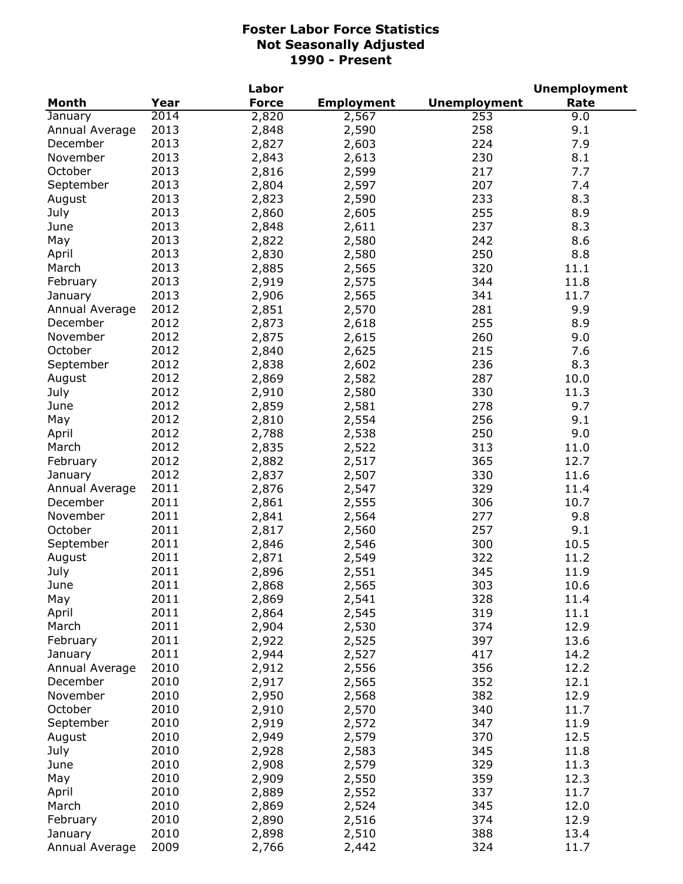|                |      | Labor        |                   |                     | <b>Unemployment</b> |
|----------------|------|--------------|-------------------|---------------------|---------------------|
| <b>Month</b>   | Year | <b>Force</b> | <b>Employment</b> | <b>Unemployment</b> | Rate                |
| January        | 2014 | 2,820        | 2,567             | 253                 | 9.0                 |
| Annual Average | 2013 | 2,848        | 2,590             | 258                 | 9.1                 |
| December       | 2013 | 2,827        | 2,603             | 224                 | 7.9                 |
| November       | 2013 | 2,843        | 2,613             | 230                 | 8.1                 |
| October        | 2013 | 2,816        | 2,599             | 217                 | 7.7                 |
| September      | 2013 | 2,804        | 2,597             | 207                 | 7.4                 |
| August         | 2013 | 2,823        | 2,590             | 233                 | 8.3                 |
| July           | 2013 | 2,860        | 2,605             | 255                 | 8.9                 |
| June           | 2013 | 2,848        | 2,611             | 237                 | 8.3                 |
| May            | 2013 | 2,822        | 2,580             | 242                 | 8.6                 |
| April          | 2013 | 2,830        | 2,580             | 250                 | 8.8                 |
| March          | 2013 | 2,885        | 2,565             | 320                 | 11.1                |
|                | 2013 |              |                   |                     |                     |
| February       |      | 2,919        | 2,575             | 344                 | 11.8                |
| January        | 2013 | 2,906        | 2,565             | 341                 | 11.7                |
| Annual Average | 2012 | 2,851        | 2,570             | 281                 | 9.9                 |
| December       | 2012 | 2,873        | 2,618             | 255                 | 8.9                 |
| November       | 2012 | 2,875        | 2,615             | 260                 | 9.0                 |
| October        | 2012 | 2,840        | 2,625             | 215                 | 7.6                 |
| September      | 2012 | 2,838        | 2,602             | 236                 | 8.3                 |
| August         | 2012 | 2,869        | 2,582             | 287                 | 10.0                |
| July           | 2012 | 2,910        | 2,580             | 330                 | 11.3                |
| June           | 2012 | 2,859        | 2,581             | 278                 | 9.7                 |
| May            | 2012 | 2,810        | 2,554             | 256                 | 9.1                 |
| April          | 2012 | 2,788        | 2,538             | 250                 | 9.0                 |
| March          | 2012 | 2,835        | 2,522             | 313                 | 11.0                |
| February       | 2012 | 2,882        | 2,517             | 365                 | 12.7                |
| January        | 2012 | 2,837        | 2,507             | 330                 | 11.6                |
| Annual Average | 2011 | 2,876        | 2,547             | 329                 | 11.4                |
| December       | 2011 | 2,861        | 2,555             | 306                 | 10.7                |
| November       | 2011 | 2,841        | 2,564             | 277                 | 9.8                 |
| October        | 2011 | 2,817        | 2,560             | 257                 | 9.1                 |
| September      | 2011 | 2,846        | 2,546             | 300                 | 10.5                |
| August         | 2011 | 2,871        | 2,549             | 322                 | 11.2                |
| July           | 2011 | 2,896        | 2,551             | 345                 | 11.9                |
| June           | 2011 | 2,868        | 2,565             | 303                 | 10.6                |
| May            | 2011 | 2,869        | 2,541             | 328                 | 11.4                |
| April          | 2011 | 2,864        | 2,545             | 319                 | 11.1                |
| March          | 2011 | 2,904        | 2,530             | 374                 | 12.9                |
| February       | 2011 | 2,922        |                   | 397                 | 13.6                |
|                | 2011 |              | 2,525             | 417                 |                     |
| January        | 2010 | 2,944        | 2,527             |                     | 14.2                |
| Annual Average |      | 2,912        | 2,556             | 356                 | 12.2                |
| December       | 2010 | 2,917        | 2,565             | 352                 | 12.1                |
| November       | 2010 | 2,950        | 2,568             | 382                 | 12.9                |
| October        | 2010 | 2,910        | 2,570             | 340                 | 11.7                |
| September      | 2010 | 2,919        | 2,572             | 347                 | 11.9                |
| August         | 2010 | 2,949        | 2,579             | 370                 | 12.5                |
| July           | 2010 | 2,928        | 2,583             | 345                 | 11.8                |
| June           | 2010 | 2,908        | 2,579             | 329                 | 11.3                |
| May            | 2010 | 2,909        | 2,550             | 359                 | 12.3                |
| April          | 2010 | 2,889        | 2,552             | 337                 | 11.7                |
| March          | 2010 | 2,869        | 2,524             | 345                 | 12.0                |
| February       | 2010 | 2,890        | 2,516             | 374                 | 12.9                |
| January        | 2010 | 2,898        | 2,510             | 388                 | 13.4                |
| Annual Average | 2009 | 2,766        | 2,442             | 324                 | 11.7                |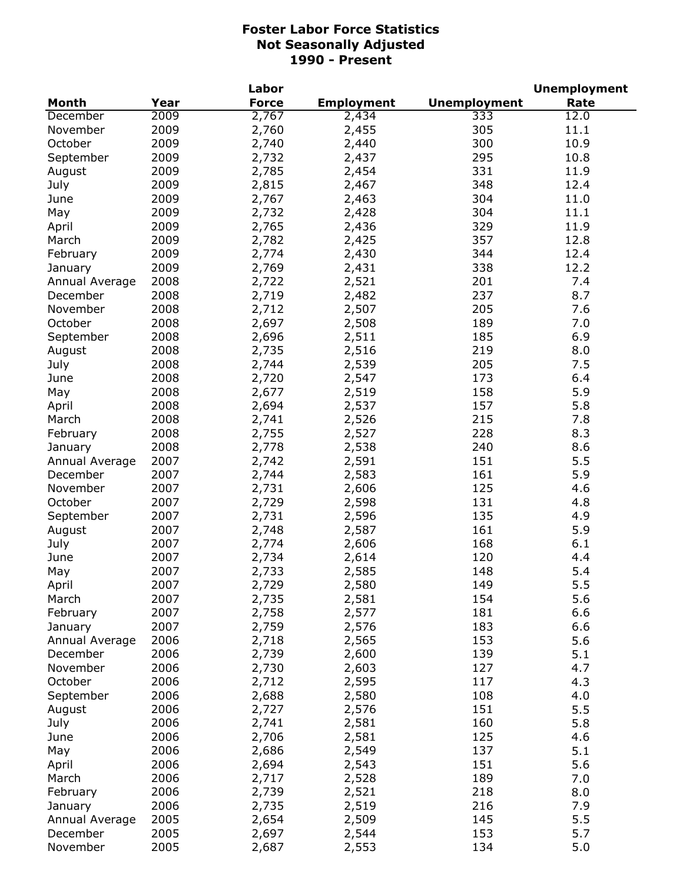|                |      | Labor        |                   |                     | <b>Unemployment</b> |
|----------------|------|--------------|-------------------|---------------------|---------------------|
| <b>Month</b>   | Year | <b>Force</b> | <b>Employment</b> | <b>Unemployment</b> | Rate                |
| December       | 2009 | 2,767        | 2,434             | 333                 | 12.0                |
| November       | 2009 | 2,760        | 2,455             | 305                 | 11.1                |
| October        | 2009 | 2,740        | 2,440             | 300                 | 10.9                |
| September      | 2009 | 2,732        | 2,437             | 295                 | 10.8                |
| August         | 2009 | 2,785        | 2,454             | 331                 | 11.9                |
| July           | 2009 | 2,815        | 2,467             | 348                 | 12.4                |
| June           | 2009 | 2,767        | 2,463             | 304                 | 11.0                |
| May            | 2009 | 2,732        | 2,428             | 304                 | 11.1                |
| April          | 2009 | 2,765        | 2,436             | 329                 | 11.9                |
| March          | 2009 | 2,782        | 2,425             | 357                 | 12.8                |
| February       | 2009 | 2,774        | 2,430             | 344                 | 12.4                |
| January        | 2009 | 2,769        | 2,431             | 338                 | 12.2                |
| Annual Average | 2008 | 2,722        | 2,521             | 201                 | 7.4                 |
| December       | 2008 | 2,719        | 2,482             | 237                 | 8.7                 |
| November       | 2008 | 2,712        | 2,507             | 205                 | 7.6                 |
| October        | 2008 | 2,697        | 2,508             | 189                 | 7.0                 |
| September      | 2008 | 2,696        | 2,511             | 185                 | 6.9                 |
| August         | 2008 | 2,735        | 2,516             | 219                 | 8.0                 |
| July           | 2008 | 2,744        | 2,539             | 205                 | 7.5                 |
| June           | 2008 | 2,720        | 2,547             | 173                 | 6.4                 |
| May            | 2008 | 2,677        | 2,519             | 158                 | 5.9                 |
| April          | 2008 | 2,694        | 2,537             | 157                 | 5.8                 |
| March          | 2008 | 2,741        | 2,526             | 215                 | 7.8                 |
| February       | 2008 | 2,755        | 2,527             | 228                 | 8.3                 |
| January        | 2008 | 2,778        | 2,538             | 240                 | 8.6                 |
| Annual Average | 2007 | 2,742        | 2,591             | 151                 | 5.5                 |
| December       | 2007 | 2,744        | 2,583             | 161                 | 5.9                 |
| November       | 2007 | 2,731        | 2,606             | 125                 | 4.6                 |
| October        | 2007 | 2,729        | 2,598             | 131                 | 4.8                 |
| September      | 2007 | 2,731        | 2,596             | 135                 | 4.9                 |
| August         | 2007 | 2,748        | 2,587             | 161                 | 5.9                 |
| July           | 2007 | 2,774        | 2,606             | 168                 | 6.1                 |
| June           | 2007 | 2,734        | 2,614             | 120                 | 4.4                 |
| May            | 2007 | 2,733        | 2,585             | 148                 | 5.4                 |
| April          | 2007 | 2,729        | 2,580             | 149                 | 5.5                 |
| March          | 2007 | 2,735        | 2,581             | 154                 | 5.6                 |
| February       | 2007 | 2,758        | 2,577             | 181                 | 6.6                 |
| January        | 2007 | 2,759        | 2,576             | 183                 | 6.6                 |
| Annual Average | 2006 | 2,718        | 2,565             | 153                 | 5.6                 |
| December       | 2006 | 2,739        | 2,600             | 139                 | 5.1                 |
| November       | 2006 | 2,730        | 2,603             | 127                 | 4.7                 |
| October        | 2006 | 2,712        | 2,595             | 117                 | 4.3                 |
| September      | 2006 | 2,688        | 2,580             | 108                 | 4.0                 |
| August         | 2006 | 2,727        | 2,576             | 151                 | 5.5                 |
| July           | 2006 | 2,741        | 2,581             | 160                 | 5.8                 |
| June           | 2006 | 2,706        | 2,581             | 125                 | 4.6                 |
| May            | 2006 | 2,686        | 2,549             | 137                 | 5.1                 |
| April          | 2006 | 2,694        | 2,543             | 151                 | 5.6                 |
| March          | 2006 | 2,717        | 2,528             | 189                 | 7.0                 |
| February       | 2006 | 2,739        | 2,521             | 218                 | 8.0                 |
| January        | 2006 | 2,735        | 2,519             | 216                 | 7.9                 |
| Annual Average | 2005 | 2,654        | 2,509             | 145                 | 5.5                 |
| December       | 2005 | 2,697        | 2,544             | 153                 | 5.7                 |
| November       | 2005 | 2,687        | 2,553             | 134                 | 5.0                 |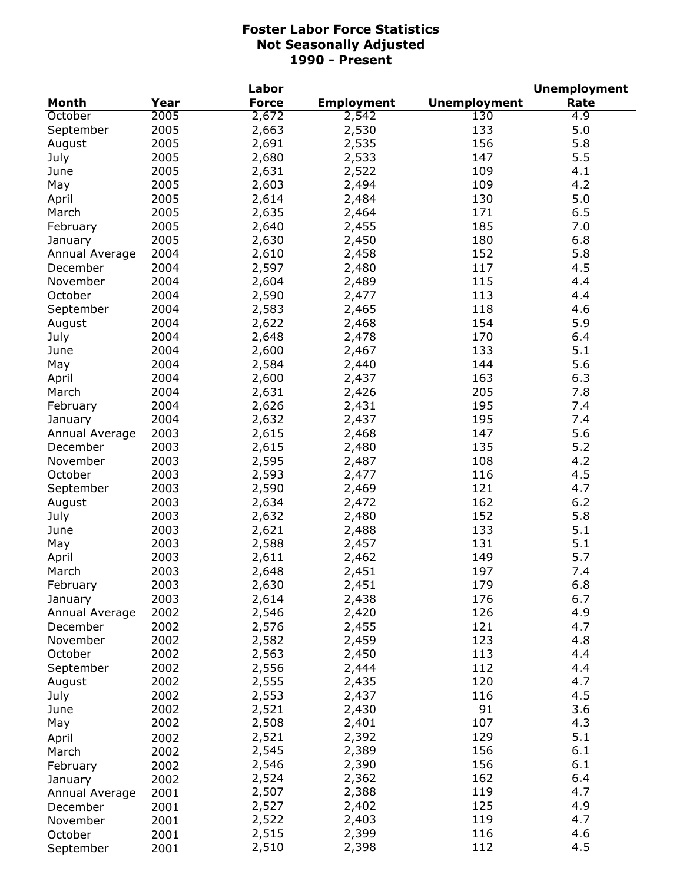|                     |              | Labor        |                   |                     | <b>Unemployment</b> |
|---------------------|--------------|--------------|-------------------|---------------------|---------------------|
| <b>Month</b>        | Year         | <b>Force</b> | <b>Employment</b> | <b>Unemployment</b> | Rate                |
| October             | 2005         | 2,672        | 2,542             | 130                 | 4.9                 |
| September           | 2005         | 2,663        | 2,530             | 133                 | 5.0                 |
| August              | 2005         | 2,691        | 2,535             | 156                 | 5.8                 |
| July                | 2005         | 2,680        | 2,533             | 147                 | 5.5                 |
| June                | 2005         | 2,631        | 2,522             | 109                 | 4.1                 |
| May                 | 2005         | 2,603        | 2,494             | 109                 | 4.2                 |
| April               | 2005         | 2,614        | 2,484             | 130                 | 5.0                 |
| March               | 2005         | 2,635        | 2,464             | 171                 | 6.5                 |
| February            | 2005         | 2,640        | 2,455             | 185                 | 7.0                 |
| January             | 2005         | 2,630        | 2,450             | 180                 | 6.8                 |
| Annual Average      | 2004         | 2,610        | 2,458             | 152                 | 5.8                 |
| December            | 2004         | 2,597        | 2,480             | 117                 | 4.5                 |
| November            | 2004         | 2,604        | 2,489             | 115                 | 4.4                 |
| October             | 2004         | 2,590        | 2,477             | 113                 | 4.4                 |
| September           | 2004         | 2,583        | 2,465             | 118                 | 4.6                 |
| August              | 2004         | 2,622        | 2,468             | 154                 | 5.9                 |
| July                | 2004         | 2,648        | 2,478             | 170                 | 6.4                 |
| June                | 2004         | 2,600        | 2,467             | 133                 | 5.1                 |
| May                 | 2004         | 2,584        | 2,440             | 144                 | 5.6                 |
| April               | 2004         | 2,600        | 2,437             | 163                 | 6.3                 |
| March               | 2004         | 2,631        | 2,426             | 205                 | 7.8                 |
| February            | 2004         | 2,626        | 2,431             | 195                 | 7.4                 |
| January             | 2004         | 2,632        | 2,437             | 195                 | 7.4                 |
| Annual Average      | 2003         | 2,615        | 2,468             | 147                 | 5.6                 |
| December            | 2003         | 2,615        | 2,480             | 135                 | 5.2                 |
| November            | 2003         | 2,595        | 2,487             | 108                 | 4.2                 |
| October             | 2003         | 2,593        | 2,477             | 116                 | 4.5                 |
| September           | 2003         | 2,590        | 2,469             | 121                 | 4.7                 |
| August              | 2003         | 2,634        | 2,472             | 162                 | 6.2                 |
| July                | 2003         | 2,632        | 2,480             | 152                 | 5.8                 |
| June                | 2003         | 2,621        | 2,488             | 133                 | 5.1                 |
| May                 | 2003         | 2,588        | 2,457             | 131                 | 5.1                 |
| April               | 2003         | 2,611        | 2,462             | 149                 | 5.7                 |
| March               | 2003         | 2,648        | 2,451             | 197                 | 7.4                 |
| February            | 2003         | 2,630        | 2,451             | 179                 | 6.8                 |
| January             | 2003         | 2,614        | 2,438             | 176                 | 6.7                 |
| Annual Average      | 2002         | 2,546        | 2,420             | 126                 | 4.9                 |
| December            | 2002         | 2,576        | 2,455             | 121                 | 4.7                 |
| November            | 2002         | 2,582        | 2,459             | 123                 | 4.8                 |
| October             | 2002         | 2,563        | 2,450             | 113                 | 4.4                 |
| September           | 2002         | 2,556        | 2,444             | 112                 | 4.4                 |
| August              | 2002         | 2,555        | 2,435             | 120                 | 4.7                 |
| July                | 2002         | 2,553        | 2,437             | 116                 | 4.5                 |
| June                | 2002         | 2,521        | 2,430             | 91                  | 3.6                 |
| May                 | 2002         | 2,508        | 2,401             | 107                 | 4.3                 |
|                     |              | 2,521        | 2,392             | 129                 | 5.1                 |
| April               | 2002<br>2002 | 2,545        | 2,389             | 156                 | 6.1                 |
| March               | 2002         | 2,546        | 2,390             | 156                 | 6.1                 |
| February            | 2002         | 2,524        | 2,362             | 162                 | 6.4                 |
| January             | 2001         | 2,507        | 2,388             | 119                 | 4.7                 |
| Annual Average      | 2001         | 2,527        | 2,402             | 125                 | 4.9                 |
| December            | 2001         | 2,522        | 2,403             | 119                 | 4.7                 |
| November<br>October | 2001         | 2,515        | 2,399             | 116                 | 4.6                 |
| September           | 2001         | 2,510        | 2,398             | 112                 | 4.5                 |
|                     |              |              |                   |                     |                     |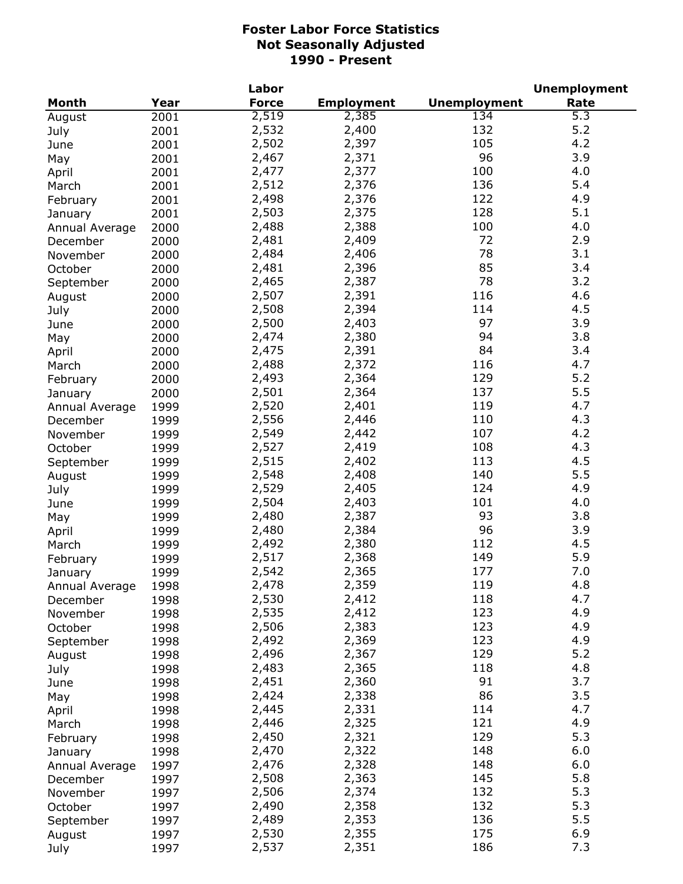|                            |              | Labor        |                   |                     | <b>Unemployment</b> |
|----------------------------|--------------|--------------|-------------------|---------------------|---------------------|
| <b>Month</b>               | Year         | <b>Force</b> | <b>Employment</b> | <b>Unemployment</b> | Rate                |
| August                     | 2001         | 2,519        | 2,385             | 134                 | $\overline{5.3}$    |
| July                       | 2001         | 2,532        | 2,400             | 132                 | 5.2                 |
| June                       | 2001         | 2,502        | 2,397             | 105                 | 4.2                 |
| May                        | 2001         | 2,467        | 2,371             | 96                  | 3.9                 |
| April                      | 2001         | 2,477        | 2,377             | 100                 | 4.0                 |
| March                      | 2001         | 2,512        | 2,376             | 136                 | 5.4                 |
| February                   | 2001         | 2,498        | 2,376             | 122                 | 4.9                 |
| January                    | 2001         | 2,503        | 2,375             | 128                 | 5.1                 |
| Annual Average             | 2000         | 2,488        | 2,388             | 100                 | 4.0                 |
| December                   | 2000         | 2,481        | 2,409             | 72                  | 2.9                 |
| November                   | 2000         | 2,484        | 2,406             | 78                  | 3.1                 |
| October                    | 2000         | 2,481        | 2,396             | 85                  | 3.4                 |
| September                  | 2000         | 2,465        | 2,387             | 78                  | 3.2                 |
| August                     | 2000         | 2,507        | 2,391             | 116                 | 4.6                 |
| July                       | 2000         | 2,508        | 2,394             | 114                 | 4.5                 |
| June                       | 2000         | 2,500        | 2,403             | 97                  | 3.9                 |
| May                        | 2000         | 2,474        | 2,380             | 94                  | 3.8                 |
| April                      | 2000         | 2,475        | 2,391             | 84                  | 3.4                 |
| March                      | 2000         | 2,488        | 2,372             | 116                 | 4.7                 |
|                            | 2000         | 2,493        | 2,364             | 129                 | 5.2                 |
| February                   | 2000         | 2,501        | 2,364             | 137                 | 5.5                 |
| January                    | 1999         | 2,520        | 2,401             | 119                 | 4.7                 |
| Annual Average<br>December | 1999         | 2,556        | 2,446             | 110                 | 4.3                 |
| November                   | 1999         | 2,549        | 2,442             | 107                 | 4.2                 |
| October                    | 1999         | 2,527        | 2,419             | 108                 | 4.3                 |
|                            | 1999         | 2,515        | 2,402             | 113                 | 4.5                 |
| September                  | 1999         | 2,548        | 2,408             | 140                 | 5.5                 |
| August                     | 1999         | 2,529        | 2,405             | 124                 | 4.9                 |
| July<br>June               | 1999         | 2,504        | 2,403             | 101                 | 4.0                 |
| May                        | 1999         | 2,480        | 2,387             | 93                  | 3.8                 |
| April                      | 1999         | 2,480        | 2,384             | 96                  | 3.9                 |
| March                      | 1999         | 2,492        | 2,380             | 112                 | 4.5                 |
| February                   | 1999         | 2,517        | 2,368             | 149                 | 5.9                 |
|                            | 1999         | 2,542        | 2,365             | 177                 | 7.0                 |
| January                    |              | 2,478        | 2,359             | 119                 | 4.8                 |
| Annual Average             | 1998<br>1998 | 2,530        | 2,412             | 118                 | 4.7                 |
| December<br>November       | 1998         | 2,535        | 2,412             | 123                 | 4.9                 |
| October                    | 1998         | 2,506        | 2,383             | 123                 | 4.9                 |
| September                  | 1998         | 2,492        | 2,369             | 123                 | 4.9                 |
| August                     | 1998         | 2,496        | 2,367             | 129                 | 5.2                 |
| July                       | 1998         | 2,483        | 2,365             | 118                 | 4.8                 |
|                            | 1998         | 2,451        | 2,360             | 91                  | 3.7                 |
| June                       | 1998         | 2,424        | 2,338             | 86                  | 3.5                 |
| May                        | 1998         | 2,445        | 2,331             | 114                 | 4.7                 |
| April                      | 1998         | 2,446        | 2,325             | 121                 | 4.9                 |
| March                      |              | 2,450        | 2,321             | 129                 | 5.3                 |
| February                   | 1998         | 2,470        | 2,322             | 148                 | 6.0                 |
| January                    | 1998         | 2,476        | 2,328             | 148                 | 6.0                 |
| Annual Average             | 1997         | 2,508        | 2,363             | 145                 | 5.8                 |
| December                   | 1997         | 2,506        | 2,374             | 132                 | 5.3                 |
| November                   | 1997         | 2,490        |                   | 132                 | 5.3                 |
| October                    | 1997         | 2,489        | 2,358<br>2,353    | 136                 | 5.5                 |
| September                  | 1997         | 2,530        | 2,355             | 175                 | 6.9                 |
| August                     | 1997<br>1997 | 2,537        | 2,351             | 186                 | 7.3                 |
| July                       |              |              |                   |                     |                     |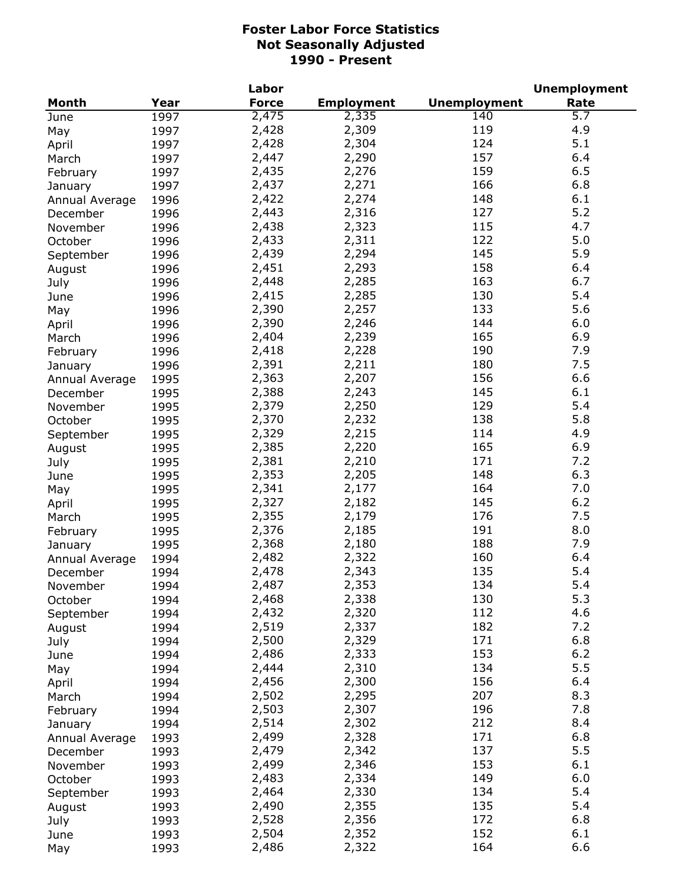|                |      | Labor        |                   |                     | <b>Unemployment</b> |
|----------------|------|--------------|-------------------|---------------------|---------------------|
| <b>Month</b>   | Year | <b>Force</b> | <b>Employment</b> | <b>Unemployment</b> | Rate                |
| June           | 1997 | 2,475        | 2,335             | 140                 | $\overline{5.7}$    |
| May            | 1997 | 2,428        | 2,309             | 119                 | 4.9                 |
| April          | 1997 | 2,428        | 2,304             | 124                 | 5.1                 |
| March          | 1997 | 2,447        | 2,290             | 157                 | 6.4                 |
| February       | 1997 | 2,435        | 2,276             | 159                 | 6.5                 |
| January        | 1997 | 2,437        | 2,271             | 166                 | 6.8                 |
| Annual Average | 1996 | 2,422        | 2,274             | 148                 | 6.1                 |
| December       | 1996 | 2,443        | 2,316             | 127                 | 5.2                 |
| November       | 1996 | 2,438        | 2,323             | 115                 | 4.7                 |
| October        | 1996 | 2,433        | 2,311             | 122                 | 5.0                 |
| September      | 1996 | 2,439        | 2,294             | 145                 | 5.9                 |
| August         | 1996 | 2,451        | 2,293             | 158                 | 6.4                 |
| July           | 1996 | 2,448        | 2,285             | 163                 | 6.7                 |
| June           | 1996 | 2,415        | 2,285             | 130                 | 5.4                 |
|                | 1996 | 2,390        | 2,257             | 133                 | 5.6                 |
| May            |      | 2,390        | 2,246             | 144                 | 6.0                 |
| April          | 1996 | 2,404        | 2,239             | 165                 | 6.9                 |
| March          | 1996 |              |                   | 190                 | 7.9                 |
| February       | 1996 | 2,418        | 2,228             |                     |                     |
| January        | 1996 | 2,391        | 2,211             | 180                 | 7.5                 |
| Annual Average | 1995 | 2,363        | 2,207             | 156                 | 6.6                 |
| December       | 1995 | 2,388        | 2,243             | 145                 | 6.1                 |
| November       | 1995 | 2,379        | 2,250             | 129                 | 5.4                 |
| October        | 1995 | 2,370        | 2,232             | 138                 | 5.8                 |
| September      | 1995 | 2,329        | 2,215             | 114                 | 4.9                 |
| August         | 1995 | 2,385        | 2,220             | 165                 | 6.9                 |
| July           | 1995 | 2,381        | 2,210             | 171                 | 7.2                 |
| June           | 1995 | 2,353        | 2,205             | 148                 | 6.3                 |
| May            | 1995 | 2,341        | 2,177             | 164                 | 7.0                 |
| April          | 1995 | 2,327        | 2,182             | 145                 | 6.2                 |
| March          | 1995 | 2,355        | 2,179             | 176                 | 7.5                 |
| February       | 1995 | 2,376        | 2,185             | 191                 | 8.0                 |
| January        | 1995 | 2,368        | 2,180             | 188                 | 7.9                 |
| Annual Average | 1994 | 2,482        | 2,322             | 160                 | 6.4                 |
| December       | 1994 | 2,478        | 2,343             | 135                 | 5.4                 |
| November       | 1994 | 2,487        | 2,353             | 134                 | $5.4$               |
| October        | 1994 | 2,468        | 2,338             | 130                 | 5.3                 |
| September      | 1994 | 2,432        | 2,320             | 112                 | 4.6                 |
| August         | 1994 | 2,519        | 2,337             | 182                 | 7.2                 |
| July           | 1994 | 2,500        | 2,329             | 171                 | 6.8                 |
| June           | 1994 | 2,486        | 2,333             | 153                 | $6.2$               |
| May            | 1994 | 2,444        | 2,310             | 134                 | 5.5                 |
| April          | 1994 | 2,456        | 2,300             | 156                 | 6.4                 |
| March          | 1994 | 2,502        | 2,295             | 207                 | 8.3                 |
| February       | 1994 | 2,503        | 2,307             | 196                 | 7.8                 |
| January        | 1994 | 2,514        | 2,302             | 212                 | 8.4                 |
| Annual Average | 1993 | 2,499        | 2,328             | 171                 | 6.8                 |
| December       | 1993 | 2,479        | 2,342             | 137                 | 5.5                 |
| November       | 1993 | 2,499        | 2,346             | 153                 | 6.1                 |
| October        | 1993 | 2,483        | 2,334             | 149                 | 6.0                 |
| September      | 1993 | 2,464        | 2,330             | 134                 | 5.4                 |
| August         | 1993 | 2,490        | 2,355             | 135                 | 5.4                 |
| July           | 1993 | 2,528        | 2,356             | 172                 | 6.8                 |
| June           | 1993 | 2,504        | 2,352             | 152                 | 6.1                 |
| May            | 1993 | 2,486        | 2,322             | 164                 | 6.6                 |
|                |      |              |                   |                     |                     |